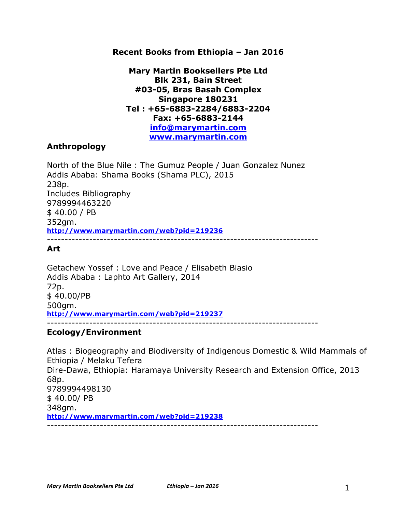#### **Recent Books from Ethiopia – Jan 2016**

**Mary Martin Booksellers Pte Ltd Blk 231, Bain Street #03-05, Bras Basah Complex Singapore 180231 Tel : +65-6883-2284/6883-2204 Fax: +65-6883-2144 info@marymartin.com www.marymartin.com**

### **Anthropology**

North of the Blue Nile : The Gumuz People / Juan Gonzalez Nunez Addis Ababa: Shama Books (Shama PLC), 2015 238p. Includes Bibliography 9789994463220 \$ 40.00 / PB 352gm. **http://www.marymartin.com/web?pid=219236** -----------------------------------------------------------------------------

# **Art**

Getachew Yossef : Love and Peace / Elisabeth Biasio Addis Ababa : Laphto Art Gallery, 2014 72p. \$ 40.00/PB 500gm. **http://www.marymartin.com/web?pid=219237** -----------------------------------------------------------------------------

#### **Ecology/Environment**

Atlas : Biogeography and Biodiversity of Indigenous Domestic & Wild Mammals of Ethiopia / Melaku Tefera Dire-Dawa, Ethiopia: Haramaya University Research and Extension Office, 2013 68p. 9789994498130 \$ 40.00/ PB 348gm. **http://www.marymartin.com/web?pid=219238** -----------------------------------------------------------------------------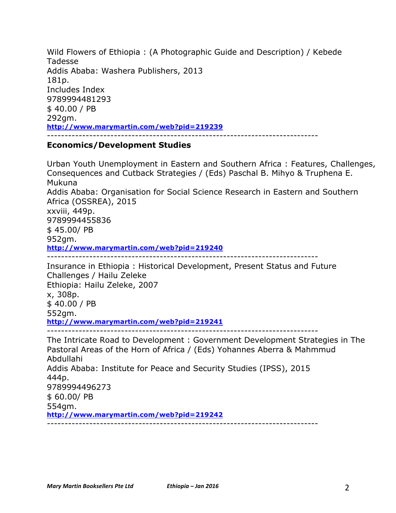Wild Flowers of Ethiopia : (A Photographic Guide and Description) / Kebede Tadesse Addis Ababa: Washera Publishers, 2013 181p. Includes Index 9789994481293 \$ 40.00 / PB 292gm. **http://www.marymartin.com/web?pid=219239** -----------------------------------------------------------------------------

### **Economics/Development Studies**

Urban Youth Unemployment in Eastern and Southern Africa : Features, Challenges, Consequences and Cutback Strategies / (Eds) Paschal B. Mihyo & Truphena E. Mukuna Addis Ababa: Organisation for Social Science Research in Eastern and Southern Africa (OSSREA), 2015 xxviii, 449p. 9789994455836 \$ 45.00/ PB 952gm. **http://www.marymartin.com/web?pid=219240** ----------------------------------------------------------------------------- Insurance in Ethiopia : Historical Development, Present Status and Future

Challenges / Hailu Zeleke Ethiopia: Hailu Zeleke, 2007 x, 308p. \$ 40.00 / PB 552gm. **http://www.marymartin.com/web?pid=219241** -----------------------------------------------------------------------------

The Intricate Road to Development : Government Development Strategies in The Pastoral Areas of the Horn of Africa / (Eds) Yohannes Aberra & Mahmmud Abdullahi Addis Ababa: Institute for Peace and Security Studies (IPSS), 2015 444p. 9789994496273 \$ 60.00/ PB 554gm. **http://www.marymartin.com/web?pid=219242** -----------------------------------------------------------------------------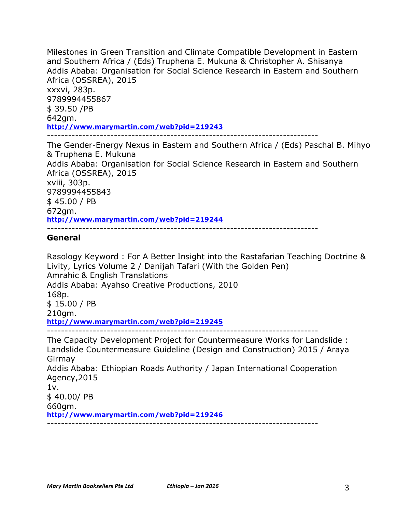Milestones in Green Transition and Climate Compatible Development in Eastern and Southern Africa / (Eds) Truphena E. Mukuna & Christopher A. Shisanya Addis Ababa: Organisation for Social Science Research in Eastern and Southern Africa (OSSREA), 2015 xxxvi, 283p. 9789994455867 \$ 39.50 /PB 642gm. **http://www.marymartin.com/web?pid=219243** -----------------------------------------------------------------------------

The Gender-Energy Nexus in Eastern and Southern Africa / (Eds) Paschal B. Mihyo & Truphena E. Mukuna Addis Ababa: Organisation for Social Science Research in Eastern and Southern Africa (OSSREA), 2015 xviii, 303p. 9789994455843 \$ 45.00 / PB 672gm. **http://www.marymartin.com/web?pid=219244** -----------------------------------------------------------------------------

### **General**

Rasology Keyword : For A Better Insight into the Rastafarian Teaching Doctrine & Livity, Lyrics Volume 2 / Danijah Tafari (With the Golden Pen) Amrahic & English Translations Addis Ababa: Ayahso Creative Productions, 2010 168p. \$ 15.00 / PB 210gm. **http://www.marymartin.com/web?pid=219245** ----------------------------------------------------------------------------- The Capacity Development Project for Countermeasure Works for Landslide : Landslide Countermeasure Guideline (Design and Construction) 2015 / Araya Girmay Addis Ababa: Ethiopian Roads Authority / Japan International Cooperation Agency,2015 1v. \$ 40.00/ PB 660gm. **http://www.marymartin.com/web?pid=219246**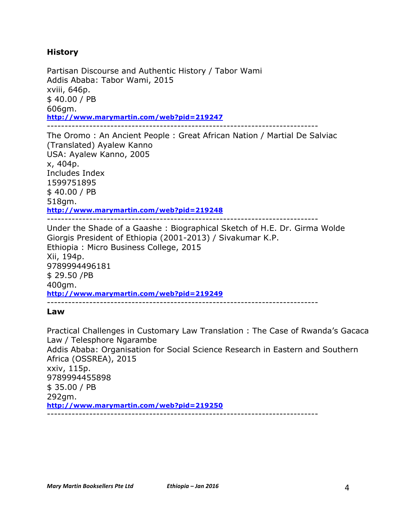# **History**

Partisan Discourse and Authentic History / Tabor Wami Addis Ababa: Tabor Wami, 2015 xviii, 646p. \$ 40.00 / PB 606gm. **http://www.marymartin.com/web?pid=219247** -----------------------------------------------------------------------------

The Oromo : An Ancient People : Great African Nation / Martial De Salviac (Translated) Ayalew Kanno USA: Ayalew Kanno, 2005 x, 404p. Includes Index 1599751895 \$ 40.00 / PB 518gm. **http://www.marymartin.com/web?pid=219248** -----------------------------------------------------------------------------

Under the Shade of a Gaashe : Biographical Sketch of H.E. Dr. Girma Wolde Giorgis President of Ethiopia (2001-2013) / Sivakumar K.P. Ethiopia : Micro Business College, 2015 Xii, 194p. 9789994496181 \$ 29.50 /PB 400gm. **http://www.marymartin.com/web?pid=219249** -----------------------------------------------------------------------------

#### **Law**

Practical Challenges in Customary Law Translation : The Case of Rwanda's Gacaca Law / Telesphore Ngarambe Addis Ababa: Organisation for Social Science Research in Eastern and Southern Africa (OSSREA), 2015 xxiv, 115p. 9789994455898 \$ 35.00 / PB 292gm. **http://www.marymartin.com/web?pid=219250** -----------------------------------------------------------------------------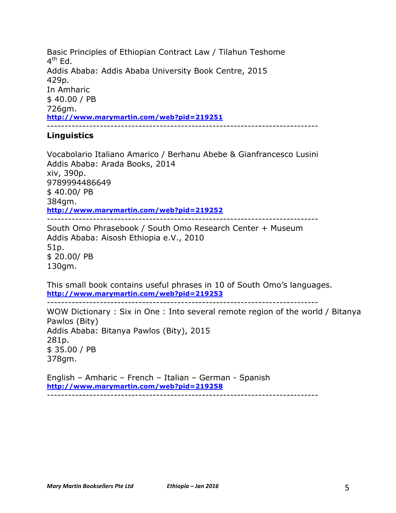Basic Principles of Ethiopian Contract Law / Tilahun Teshome  $4^{\text{th}}$  Fd. Addis Ababa: Addis Ababa University Book Centre, 2015 429p. In Amharic \$ 40.00 / PB 726gm. **http://www.marymartin.com/web?pid=219251** -----------------------------------------------------------------------------

### **Linguistics**

Vocabolario Italiano Amarico / Berhanu Abebe & Gianfrancesco Lusini Addis Ababa: Arada Books, 2014 xiv, 390p. 9789994486649 \$ 40.00/ PB 384gm. **http://www.marymartin.com/web?pid=219252** -----------------------------------------------------------------------------

South Omo Phrasebook / South Omo Research Center + Museum Addis Ababa: Aisosh Ethiopia e.V., 2010 51p. \$ 20.00/ PB 130gm.

This small book contains useful phrases in 10 of South Omo's languages. **http://www.marymartin.com/web?pid=219253**

-----------------------------------------------------------------------------

WOW Dictionary : Six in One : Into several remote region of the world / Bitanya Pawlos (Bity) Addis Ababa: Bitanya Pawlos (Bity), 2015 281p. \$ 35.00 / PB 378gm.

English – Amharic – French – Italian – German - Spanish **http://www.marymartin.com/web?pid=219258** -----------------------------------------------------------------------------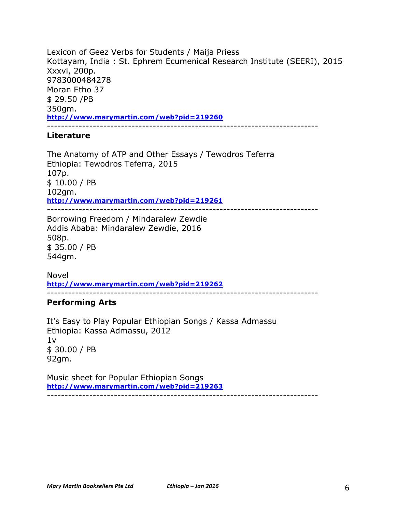Lexicon of Geez Verbs for Students / Maija Priess Kottayam, India : St. Ephrem Ecumenical Research Institute (SEERI), 2015 Xxxvi, 200p. 9783000484278 Moran Etho 37 \$ 29.50 /PB 350gm. **http://www.marymartin.com/web?pid=219260** -----------------------------------------------------------------------------

#### **Literature**

The Anatomy of ATP and Other Essays / Tewodros Teferra Ethiopia: Tewodros Teferra, 2015 107p. \$ 10.00 / PB 102gm. **http://www.marymartin.com/web?pid=219261** -----------------------------------------------------------------------------

Borrowing Freedom / Mindaralew Zewdie Addis Ababa: Mindaralew Zewdie, 2016 508p. \$ 35.00 / PB 544gm.

Novel **http://www.marymartin.com/web?pid=219262** -----------------------------------------------------------------------------

# **Performing Arts**

It's Easy to Play Popular Ethiopian Songs / Kassa Admassu Ethiopia: Kassa Admassu, 2012 1v \$ 30.00 / PB 92gm.

Music sheet for Popular Ethiopian Songs **http://www.marymartin.com/web?pid=219263** -----------------------------------------------------------------------------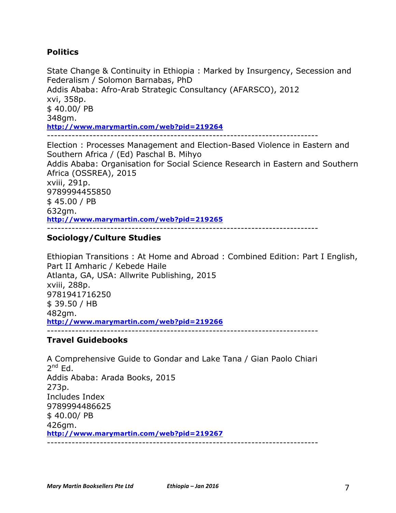# **Politics**

State Change & Continuity in Ethiopia : Marked by Insurgency, Secession and Federalism / Solomon Barnabas, PhD Addis Ababa: Afro-Arab Strategic Consultancy (AFARSCO), 2012 xvi, 358p. \$ 40.00/ PB 348gm. **http://www.marymartin.com/web?pid=219264** -----------------------------------------------------------------------------

Election : Processes Management and Election-Based Violence in Eastern and Southern Africa / (Ed) Paschal B. Mihyo Addis Ababa: Organisation for Social Science Research in Eastern and Southern Africa (OSSREA), 2015 xviii, 291p. 9789994455850 \$ 45.00 / PB 632gm. **http://www.marymartin.com/web?pid=219265** -----------------------------------------------------------------------------

# **Sociology/Culture Studies**

Ethiopian Transitions : At Home and Abroad : Combined Edition: Part I English, Part II Amharic / Kebede Haile Atlanta, GA, USA: Allwrite Publishing, 2015 xviii, 288p. 9781941716250 \$ 39.50 / HB 482gm. **http://www.marymartin.com/web?pid=219266**

#### -----------------------------------------------------------------------------

#### **Travel Guidebooks**

A Comprehensive Guide to Gondar and Lake Tana / Gian Paolo Chiari  $2^{nd}$  Ed. Addis Ababa: Arada Books, 2015 273p. Includes Index 9789994486625  $$40.00/PB$ 426gm. **http://www.marymartin.com/web?pid=219267** -----------------------------------------------------------------------------